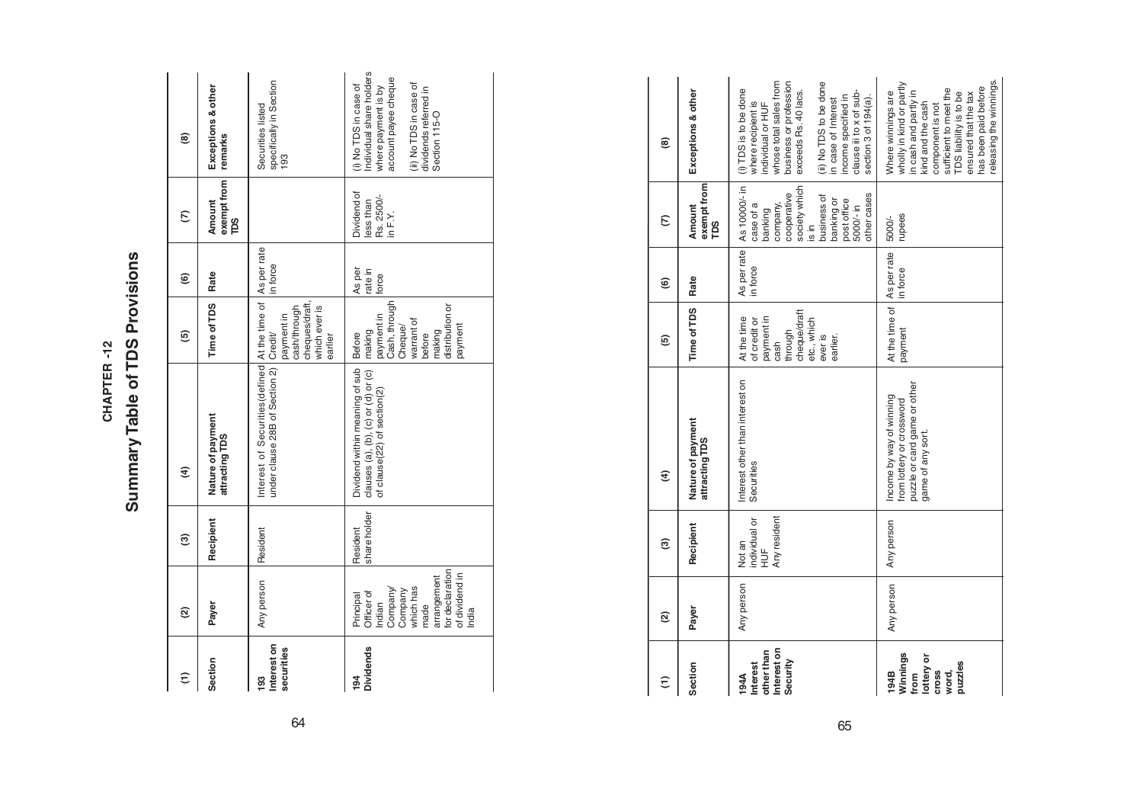# Summary Table of TDS Provisions **Summary Table of TDS Provisions** CHAPTER-12 **CHAPTER -12**

| $\widehat{\tau}$                       | ହ                                                                                                                                          | ම                        | $\widehat{\mathbf{f}}$                                                                                                 | ම                                                                                                      | ම                          | $\epsilon$                                         | ම                                                                                                                                                                   |
|----------------------------------------|--------------------------------------------------------------------------------------------------------------------------------------------|--------------------------|------------------------------------------------------------------------------------------------------------------------|--------------------------------------------------------------------------------------------------------|----------------------------|----------------------------------------------------|---------------------------------------------------------------------------------------------------------------------------------------------------------------------|
| Section                                | Payer                                                                                                                                      | Recipient                | Nature of payment<br>attracting TDS                                                                                    | Time of TDS Rate                                                                                       |                            | exempt from<br>Amount<br>βå                        | Exceptions & other<br>remarks                                                                                                                                       |
| Interest on<br>securities<br><b>93</b> | Any person                                                                                                                                 | Resident                 | Interest of Securities(defined At the time of As per rate<br>under clause 28B of Section 2) Credit/                    | cheques/draft,<br>which ever is<br>cash/through<br>payment in<br>earlier                               | in force                   |                                                    | specifically in Section<br>193<br>Securities listed                                                                                                                 |
| <b>Dividends</b><br>$\frac{1}{2}$      | for declaration<br>of dividend in<br>arrangement<br>which has<br>Company/<br>Company<br>Officer of<br>Principal<br>Indian<br>made<br>India | share holder<br>Resident | Dividend within meaning of sub   Before<br>clauses (a), (b), (c) or (d) or (c)   making<br>of clause(22) of section(2) | Cash, through<br>distribution or<br>payment in<br>warrant of<br>Cheque/<br>payment<br>making<br>before | As per<br>rate in<br>force | Dividend of<br>Rs. 2500/-<br>ess than<br>in $F.Y.$ | ndividual share holders<br>account payee cheque<br>(ii) No TDS in case of<br>(i) No TDS in case of<br>where payment is by<br>dividends referred in<br>Section 115-O |

| Ξ                                                                          | $\widehat{\mathfrak{g}}$ | ම                                                        | E)                                                                                                         | ම                                                                                                                  | ම                       | E                                                                                                                                                                          | ම                                                                                                                                                                                                                                                                       |
|----------------------------------------------------------------------------|--------------------------|----------------------------------------------------------|------------------------------------------------------------------------------------------------------------|--------------------------------------------------------------------------------------------------------------------|-------------------------|----------------------------------------------------------------------------------------------------------------------------------------------------------------------------|-------------------------------------------------------------------------------------------------------------------------------------------------------------------------------------------------------------------------------------------------------------------------|
| Section                                                                    | Payer                    | Recipient                                                | Nature of payment<br>attracting TDS                                                                        | Time of TDS                                                                                                        | Rate                    | exempt from<br>Amount<br>рs                                                                                                                                                | Exceptions & other                                                                                                                                                                                                                                                      |
| Interest on<br>other than<br>Security<br>Interest<br>194A                  | Any person               | Any resident<br>individual or<br>Not an<br>$\frac{1}{2}$ | Interest other than interest on<br>Securities                                                              | cheque/draft<br>payment in<br>At the time<br>etc., which<br>of credit or<br>through<br>ever is<br>earlier.<br>cash | As per rate<br>in force | As 10000/- in<br>society which<br>cooperative<br>other cases<br>business of<br>banking or<br>post office<br>company,<br>case of a<br>5000/- in<br>banking<br>$\frac{1}{2}$ | whose total sales from<br>business or profession<br>(ii) No TDS to be done<br>(i) TDS is to be done<br>exceeds Rs. 40 lacs.<br>clause iii to x of sub-<br>income specified in<br>section 3 of 194(a).<br>in case of Interest<br>where recipient is<br>individual or HUF |
| Winnings<br>lottery or<br>puzzles<br><b>Cross</b><br>from<br>194B<br>word, | Any person               | Any person                                               | puzzle or card game or other<br>Income by way of winning<br>from lottery or crossword<br>game of any sort. | At the time of  <br>payment                                                                                        | As per rate<br>in force | rupees<br>5000/-                                                                                                                                                           | releasing the winnings.<br>wholly in kind or partly<br>has been paid before<br>sufficient to meet the<br>in cash and partly in<br>Where winnings are<br>TDS liability is to be<br>ensured that the tax<br>kind and the cash<br>component is not                         |

64 65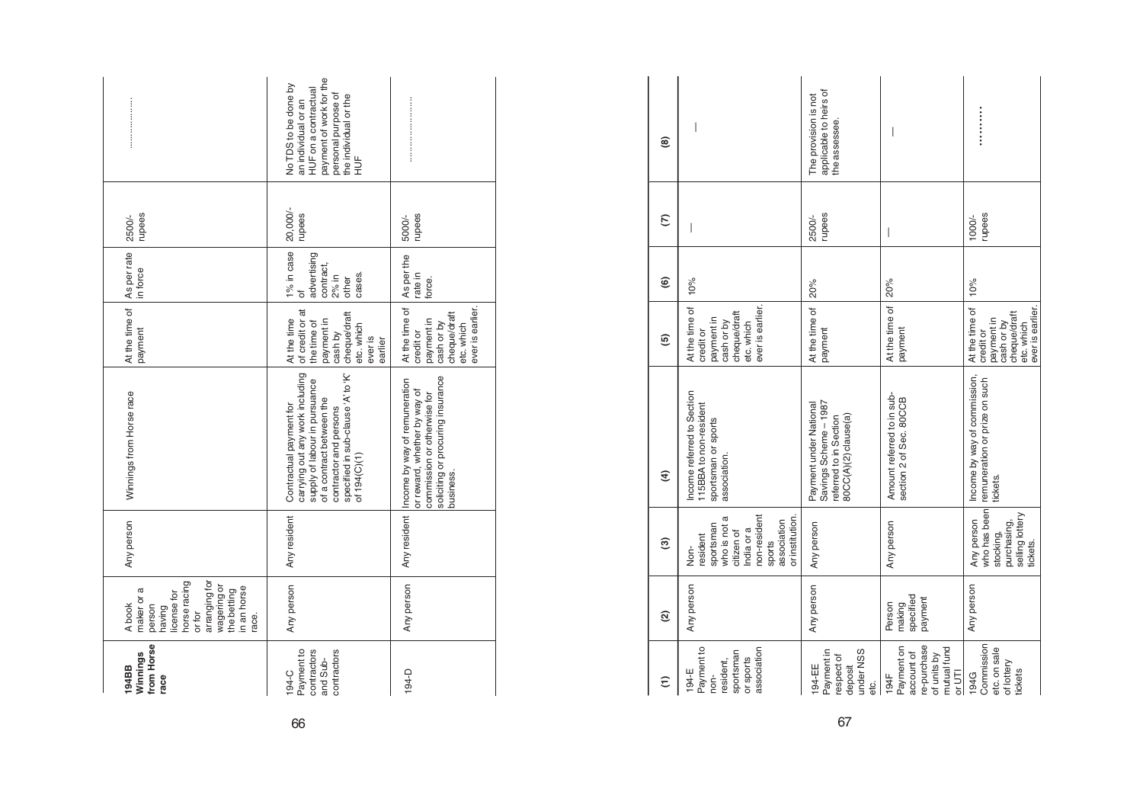|                                                                                                                                                          | payment of work for the<br>No TDS to be done by<br>HUF on a contractual<br>personal purpose of<br>the individual or the<br>an individual or an<br>$\frac{1}{2}$                                            |                                                                                                                                                              |
|----------------------------------------------------------------------------------------------------------------------------------------------------------|------------------------------------------------------------------------------------------------------------------------------------------------------------------------------------------------------------|--------------------------------------------------------------------------------------------------------------------------------------------------------------|
| rupees<br>2500/-                                                                                                                                         | 20,000/-<br>upees                                                                                                                                                                                          | rupees<br>5000/-                                                                                                                                             |
| in force                                                                                                                                                 | 1% in case<br>advertising<br>contract,<br>cases.<br>$2%$ in<br>other<br>đ                                                                                                                                  | As per the<br>rate in<br>force.                                                                                                                              |
| At the time of As per rate<br>payment                                                                                                                    | of credit or at<br>cheque/draft<br>At the time<br>payment in<br>the time of<br>etc. which<br>cash by<br>ever is<br>earlier                                                                                 | At the time of<br>ever is earlier.<br>cheque/draft<br>payment in<br>etc. which<br>cash or by<br>credit or                                                    |
| Winnings from Horse race                                                                                                                                 | carrying out any work including<br>specified in sub-clause 'A' to 'K'<br>supply of labour in pursuance<br>of a contract between the<br>Contractual payment for<br>contractor and persons<br>of $194(C)(1)$ | soliciting or procuring insurance<br>Any resident  Income by way of remuneration<br>or reward, whether by way of<br>commission or otherwise for<br>pusiness. |
| Any person                                                                                                                                               | Any resident                                                                                                                                                                                               |                                                                                                                                                              |
| arranging for<br>horse racing<br>wagering or<br>in an horse<br>the betting<br>maker or a<br>license for<br>A book<br>person<br>having<br>or for<br>race. | Any person                                                                                                                                                                                                 | Any person                                                                                                                                                   |
| from Horse<br>Winnings<br>194BB<br>race                                                                                                                  | contractors<br>contractors<br>Payment to<br>and Sub-<br>194-C                                                                                                                                              | 194-D                                                                                                                                                        |

| ම                      | I                                                                                                                                     | applicable to heirs of<br>The provision is not<br>the assessee.                                   | $\overline{\phantom{a}}$                                                                |                                                                                                           |
|------------------------|---------------------------------------------------------------------------------------------------------------------------------------|---------------------------------------------------------------------------------------------------|-----------------------------------------------------------------------------------------|-----------------------------------------------------------------------------------------------------------|
| E                      | $\mid$                                                                                                                                | rupees<br>2500/-                                                                                  | $\bigg $                                                                                | rupees<br>1000/-                                                                                          |
| $\widehat{\mathbf{e}}$ | 10%                                                                                                                                   | 20%                                                                                               | 20%                                                                                     | 10%                                                                                                       |
| ⑤                      | ever is earlier.<br>At the time of<br>cheque/draft<br>payment in<br>cash or by<br>etc. which<br>credit or                             | At the time of<br>payment                                                                         | At the time of<br>payment                                                               | At the time of<br>ever is earlier.<br>cheque/draft<br>payment in<br>cash or by<br>etc. which<br>credit or |
| E                      | Income referred to Section<br>115BBA to non-resident<br>sportsman or sports<br>association.                                           | Savings Scheme - 1987<br>Payment under National<br>80CC(A)(2) clause(a)<br>referred to in Section | Amount referred to in sub-<br>section 2 of Sec. 80CCB                                   | Income by way of commission,<br>remuneration or prize on such<br>tickets.                                 |
| ම                      | non-resident<br>who is not a<br>or institution.<br>association<br>sportsman<br>India or a<br>citizen of<br>resident<br>sports<br>Non- | Any person                                                                                        | Any person                                                                              | who has been<br>selling lottery<br>Any person<br>purchasing,<br>stocking,<br>tickets.                     |
| $\widehat{\alpha}$     | Any person                                                                                                                            | Any person                                                                                        | specified<br>payment<br>making<br>Person                                                | Any person                                                                                                |
| $\widehat{\epsilon}$   | Payment to<br>association<br>sportsman<br>or sports<br>resident,<br>$194-E$<br>non-                                                   | under NSS<br>Payment in<br>respect of<br>194-EE<br>deposit<br>etc.                                | re-purchase<br>Payment on<br>mutual fund<br>account of<br>of units by<br>or UTI<br>194F | Commission<br>etc. on sale<br>of lottery<br>tickets<br>194G                                               |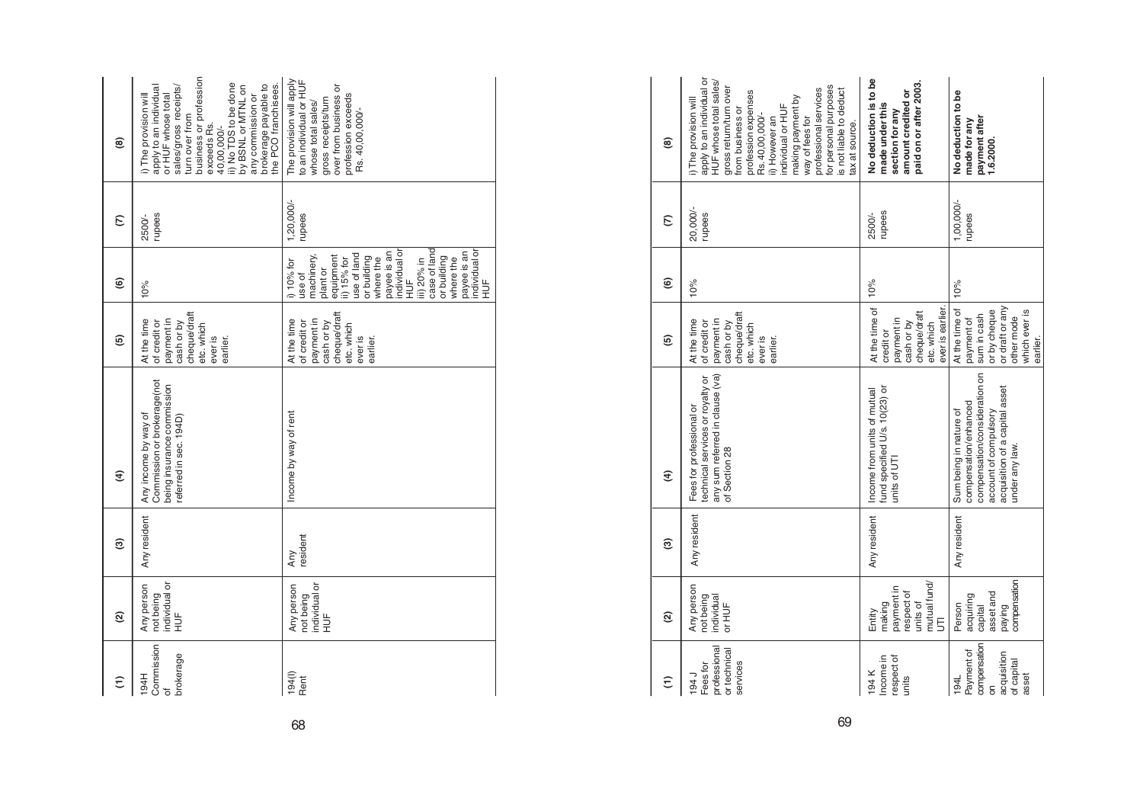| @                        | business or profession<br>ii) No TDS to be done<br>brokerage payable to<br>the PCO franchisees.<br>sales/gross receipts/<br>by BSNL or MTNL on<br>apply to an individual<br>or HUF whose total<br>i) The provision will<br>any commission or<br>turn over from<br>exceeds Rs.<br>40,00,000/- | The provision will apply<br>to an individual or HUF<br>over from business or<br>profession exceeds<br>gross receipts/turn<br>whose total sales/<br>Rs. 40,00,000/-                                                                                                              |
|--------------------------|----------------------------------------------------------------------------------------------------------------------------------------------------------------------------------------------------------------------------------------------------------------------------------------------|---------------------------------------------------------------------------------------------------------------------------------------------------------------------------------------------------------------------------------------------------------------------------------|
| $\epsilon$               | rupees<br>2500/-                                                                                                                                                                                                                                                                             | $1,20,000/-$<br>upees                                                                                                                                                                                                                                                           |
| $\widehat{\mathbf{e}}$   | 10%                                                                                                                                                                                                                                                                                          | case of land<br>individual or<br>individual or<br>payee is an<br>payee is an<br>use of land<br>machinery,<br>equipment<br>or building<br>where the<br>or building<br>where the<br>ii) 15% for<br>iii) 20% in<br>i) 10% for<br>plant or<br>use of<br>HU <sub>E</sub><br>HUF<br>H |
| 6                        | cheque/draft<br>At the time<br>payment in<br>of credit or<br>cash or by<br>etc. which<br>ever is<br>earlier.                                                                                                                                                                                 | cheque/draft<br>payment in<br>At the time<br>of credit or<br>cash or by<br>etc. which<br>ever is<br>earlier                                                                                                                                                                     |
| E                        | Commission or brokerage(not<br>being insurance commission<br>Any income by way of<br>referred in sec. 194D)                                                                                                                                                                                  | Income by way of rent                                                                                                                                                                                                                                                           |
| ම                        | Any resident                                                                                                                                                                                                                                                                                 | resident<br>Any                                                                                                                                                                                                                                                                 |
| $\widehat{\mathfrak{g}}$ | individual or<br>Any person<br>not being<br>HUF<br>H                                                                                                                                                                                                                                         | individual or<br>Any person<br>not being<br>$\frac{1}{2}$                                                                                                                                                                                                                       |
| ε                        | Commission<br>brokerage<br>194H                                                                                                                                                                                                                                                              | 194()<br>Rent                                                                                                                                                                                                                                                                   |

| ම             | apply to an individual or<br>HUF whose total sales/<br>for personal purposes<br>gross return/turn over<br>professional services<br>is not liable to deduct<br>profession expenses<br>making payment by<br>i) The provision will<br>individual or HUF<br>from business or<br>Rs. 40,00,000/-<br>ii) However an<br>way of fees for<br>ax at source. | No deduction is to be<br>paid on or after 2003.<br>amount credited or<br>made under this<br>section for any | No deduction to be<br>payment after<br>made for any<br>1.6.2000.                                                                                              |
|---------------|---------------------------------------------------------------------------------------------------------------------------------------------------------------------------------------------------------------------------------------------------------------------------------------------------------------------------------------------------|-------------------------------------------------------------------------------------------------------------|---------------------------------------------------------------------------------------------------------------------------------------------------------------|
| S             | 20,000/-<br>rupees                                                                                                                                                                                                                                                                                                                                | rupees<br>2500/-                                                                                            | 1,00,000/-<br>rupees                                                                                                                                          |
| ම             | 10%                                                                                                                                                                                                                                                                                                                                               | 10%                                                                                                         | 10%                                                                                                                                                           |
| ම             | cheque/draft<br>payment in<br>At the time<br>of credit or<br>cash or by<br>etc. which<br>ever is<br>earlier.                                                                                                                                                                                                                                      | At the time of<br>ever is earlier.<br>cheque/draft<br>payment in<br>etc. which<br>cash or by<br>creditor    | or draft or any<br>At the time of<br>or by cheque<br>which ever is<br>sum in cash<br>other mode<br>payment of<br>earlier.                                     |
| $\widehat{f}$ | any sum referred in clause (va)<br>technical services or royalty or<br>Fees for professional or<br>of Section 28                                                                                                                                                                                                                                  | fund specified U/s. 10(23) or<br>Income from units of mutual<br>units of UTI                                | compensation/consideration on<br>acquisition of a capital asset<br>compensation/enhanced<br>Sum being in nature of<br>account of compulsory<br>under any law. |
| ම             | Any resident                                                                                                                                                                                                                                                                                                                                      | Any resident                                                                                                | Any resident                                                                                                                                                  |
| Q             | Any person<br>individual<br>not being<br>or HUF                                                                                                                                                                                                                                                                                                   | mutual fund/<br>paymentin<br>respect of<br>making<br>units of<br>Entity<br>5                                | compensation<br>asset and<br>acquiring<br>Person<br>capital<br>paying                                                                                         |
| ε             | professional<br>or technical<br>services<br>Fees for<br>194 J                                                                                                                                                                                                                                                                                     | Income in<br>respect of<br>194 K<br>units                                                                   | compensation<br>Payment of<br>acquisition<br>of capital<br>asset<br>194L<br>δ                                                                                 |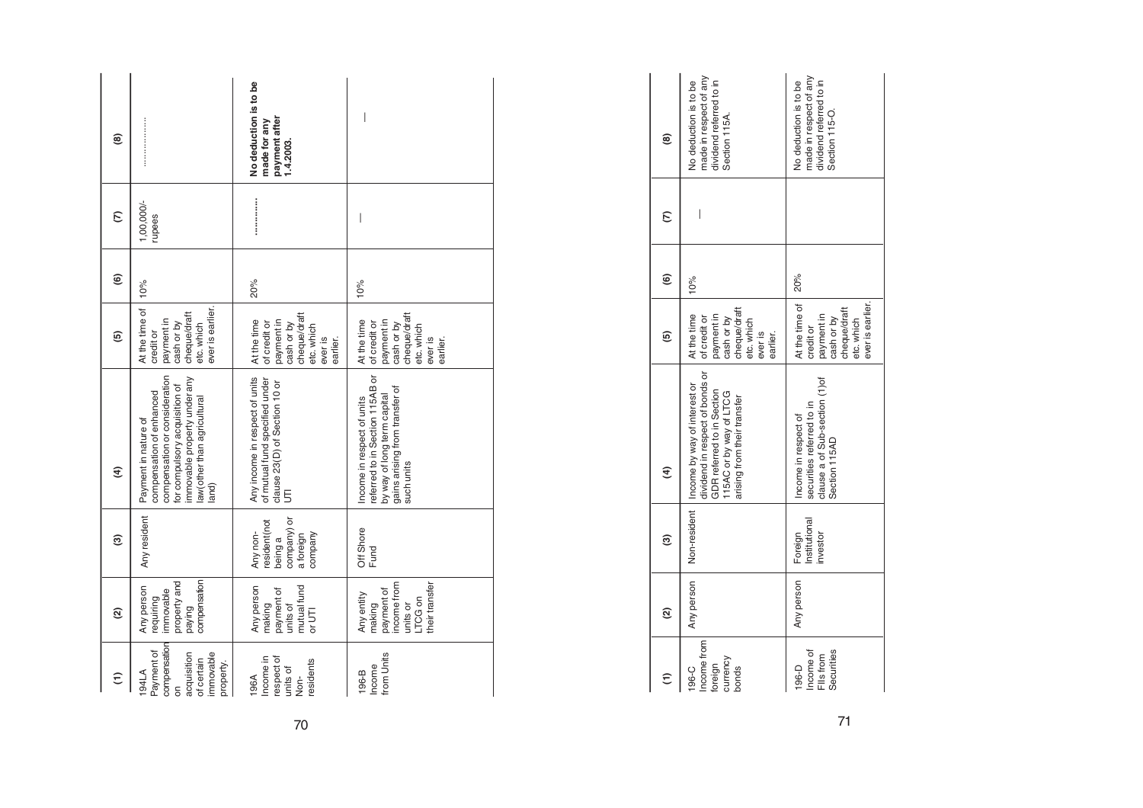| ම                |                                                                                                                                                                                            | No deduction is to be<br>payment after<br>made for any<br>1.4.2003.                                          | I                                                                                                                                            |
|------------------|--------------------------------------------------------------------------------------------------------------------------------------------------------------------------------------------|--------------------------------------------------------------------------------------------------------------|----------------------------------------------------------------------------------------------------------------------------------------------|
| E                | $1,000,000/-$<br>rupees                                                                                                                                                                    |                                                                                                              | $\bigg $                                                                                                                                     |
| ම                | 10%                                                                                                                                                                                        | 20%                                                                                                          | 10%                                                                                                                                          |
| ම                | ever is earlier.<br>At the time of<br>cheque/draft<br>payment in<br>cash or by<br>etc. which<br>credit or                                                                                  | cheque/draft<br>At the time<br>payment in<br>of credit or<br>cash or by<br>etc. which<br>ever is<br>earlier. | cheque/draft<br>At the time<br>paymentin<br>of credit or<br>cash or by<br>etc. which<br>ever is<br>earlier.                                  |
| $\widehat{f}$    | compensation or consideration<br>immovable property under any<br>for compulsory acquisition of<br>compensation of enhanced<br>law (other than agricultural<br>Payment in nature of<br>and) | Any income in respect of units<br>of mutual fund specified under<br>clause 23(D) of Section 10 or<br>5       | referred to in Section 115AB or<br>gains arising from transfer of<br>by way of long term capital<br>Income in respect of units<br>such units |
| ම                | Any resident                                                                                                                                                                               | company) or<br>resident(not<br>Any non-<br>a foreign<br>company<br>being a                                   | Off Shore<br>Fund                                                                                                                            |
| ହ                | compensation<br>property and<br>Any person<br>immovable<br>requiring<br>paying                                                                                                             | mutual fund<br>Any person<br>payment of<br>units of<br>making<br>or UTI                                      | heir transfer<br>ncome from<br>payment of<br>Any entity<br>TCG on<br>making<br>units or                                                      |
| $\widehat{\tau}$ | compensation<br>Payment of<br>acquisition<br>immovable<br>of certain<br>property.<br>194LA<br>δ                                                                                            | Income in<br>respect of<br>residents<br>units of<br>Non-<br>196A                                             | from Units<br>Income<br>196-B                                                                                                                |

| $\widehat{\epsilon}$                                 | ହ          | ම                                   | E                                                                                                                                                                      | ම                                                                                                              | $\widehat{\mathbf{e}}$ | $\epsilon$ | ම                                                                                            |
|------------------------------------------------------|------------|-------------------------------------|------------------------------------------------------------------------------------------------------------------------------------------------------------------------|----------------------------------------------------------------------------------------------------------------|------------------------|------------|----------------------------------------------------------------------------------------------|
| Income from<br>currency<br>foreign<br>196-C<br>bonds | Any person |                                     | dividend in respect of bonds or<br>Non-resident   Income by way of interest or<br>GDR referred to in Section<br>115AC or by way of LTCG<br>arising from their transfer | cheque/draft<br>At the time<br>payment in<br>cash or by<br>of credit or<br>etc. which<br>ever is<br>earlier.   | 10%                    |            | made in respect of any<br>dividend referred to in<br>No deduction is to be<br>Section 115A.  |
| Income of<br>Securities<br>Fils from<br>196-D        | Any person | nstitutional<br>Foreign<br>investor | clause a of Sub-section (1)of<br>securities referred to in<br>Income in respect of<br>Section 115AD                                                                    | At the time of   20%<br>ever is earlier.<br>cheque/draft<br>paymentin<br>cash or by<br>etc. which<br>credit or |                        |            | made in respect of any<br>dividend referred to in<br>No deduction is to be<br>Section 115-O. |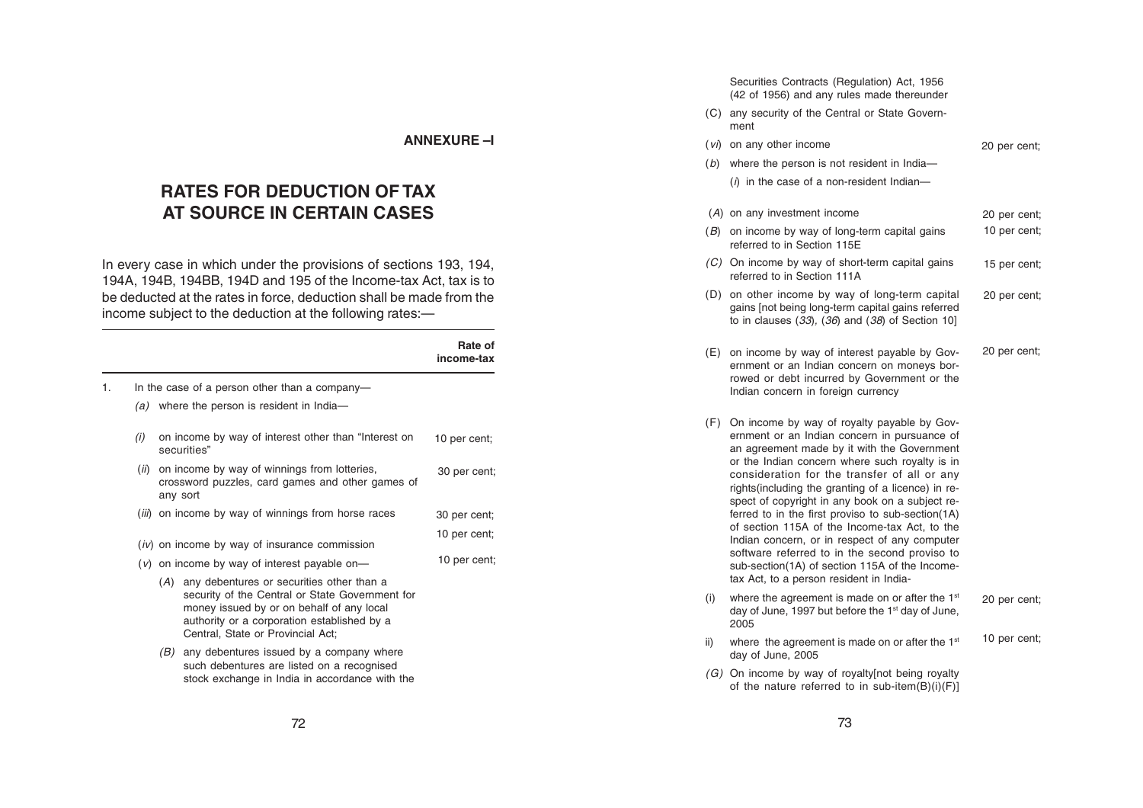#### **ANNEXURE –I**

# **RATES FOR DEDUCTION OF TAX AT SOURCE IN CERTAIN CASES**

In every case in which under the provisions of sections 193, 194, 194A, 194B, 194BB, 194D and 195 of the Income-tax Act, tax is to be deducted at the rates in force, deduction shall be made from the income subject to the deduction at the following rates:—

|    |      |                                                                                                                                                                                                                                   | Rate of<br>income-tax |
|----|------|-----------------------------------------------------------------------------------------------------------------------------------------------------------------------------------------------------------------------------------|-----------------------|
| 1. |      | In the case of a person other than a company-                                                                                                                                                                                     |                       |
|    |      | $(a)$ where the person is resident in India-                                                                                                                                                                                      |                       |
|    | (i)  | on income by way of interest other than "Interest on<br>securities"                                                                                                                                                               | 10 per cent;          |
|    | (ii) | on income by way of winnings from lotteries,<br>crossword puzzles, card games and other games of<br>any sort                                                                                                                      | 30 per cent;          |
|    |      | (iii) on income by way of winnings from horse races                                                                                                                                                                               | 30 per cent;          |
|    |      | $(iv)$ on income by way of insurance commission                                                                                                                                                                                   | 10 per cent;          |
|    |      | $(v)$ on income by way of interest payable on-                                                                                                                                                                                    | 10 per cent;          |
|    |      | (A) any debentures or securities other than a<br>security of the Central or State Government for<br>money issued by or on behalf of any local<br>authority or a corporation established by a<br>Central, State or Provincial Act; |                       |
|    |      | any debentures issued by a company where<br>(B)<br>such debentures are listed on a recognised<br>stock exchange in India in accordance with the                                                                                   |                       |

Securities Contracts (Regulation) Act, 1956 (42 of 1956) and any rules made thereunder

- (C) any security of the Central or State Government
- (vi) on any other income 20 per cent;
- ( b) where the person is not resident in India—

 $(i)$  in the case of a non-resident Indian-

- ( A) on any investment income 20 per cent;
- ( B) on income by way of long-term capital gains referred to in Section 115E 10 per cent;
	- (C) On income by way of short-term capital gains referred to in Section 111A 15 per cent;
	- (D) on other income by way of long-term capital gains [not being long-term capital gains referred to in clauses  $(33)$ ,  $(36)$  and  $(38)$  of Section 10] 20 per cent;
	- (E) on income by way of interest payable by Government or an Indian concern on moneys borrowed or debt incurred by Government or the Indian concern in foreign currency 20 per cent;
	- (F) On income by way of royalty payable by Government or an Indian concern in pursuance of an agreement made by it with the Government or the Indian concern where such royalty is in consideration for the transfer of all or any rights(including the granting of a licence) in respect of copyright in any book on a subject referred to in the first proviso to sub-section(1A) of section 115A of the Income-tax Act, to the Indian concern, or in respect of any computer software referred to in the second proviso to sub-section(1A) of section 115A of the Incometax Act, to a person resident in India-
	- (i) where the agreement is made on or after the  $1<sup>st</sup>$ day of June, 1997 but before the 1<sup>st</sup> day of June, 2005 20 per cent;
	- ii) where the agreement is made on or after the  $1<sup>st</sup>$ day of June, 2005 10 per cent;
	- (G) On income by way of royalty[not being royalty of the nature referred to in sub-item(B)(i)(F)]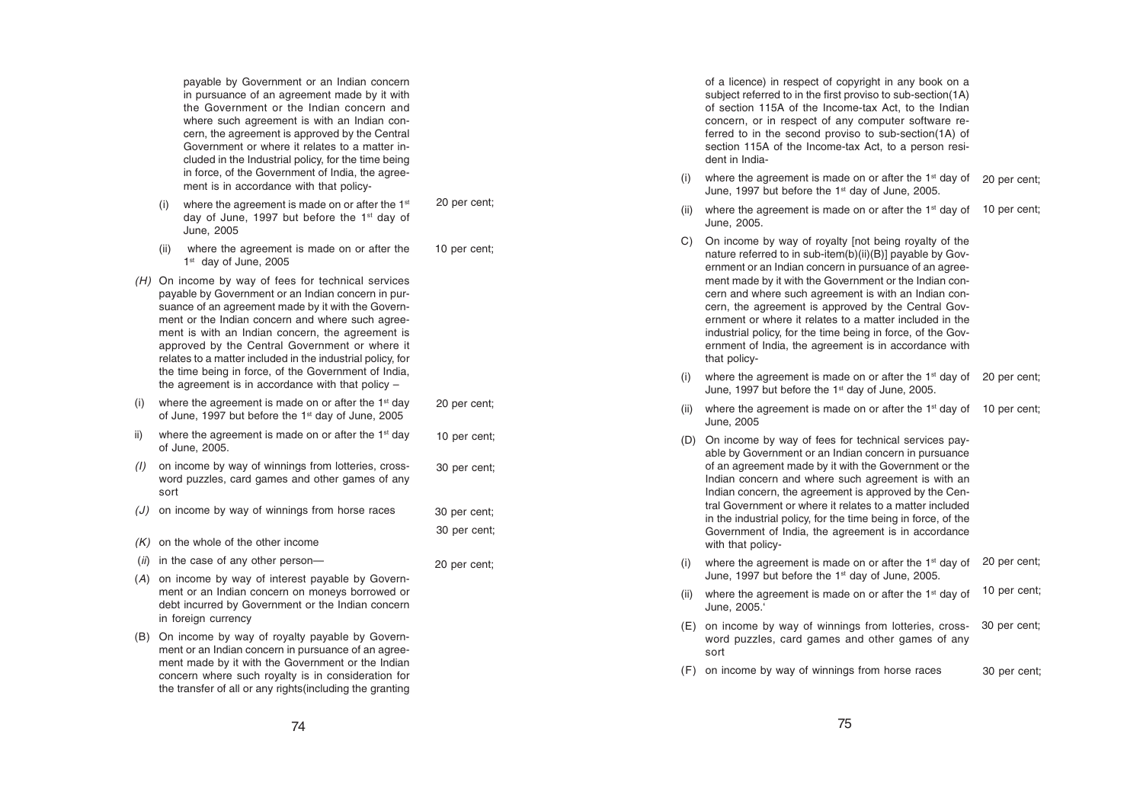payable by Government or an Indian concern in pursuance of an agreement made by it with the Government or the Indian concern and where such agreement is with an Indian concern, the agreement is approved by the Central Government or where it relates to a matter included in the Industrial policy, for the time being in force, of the Government of India, the agreement is in accordance with that policy-

(i) where the agreement is made on or after the  $1<sup>st</sup>$ day of June, 1997 but before the 1<sup>st</sup> day of June, 2005

20 per cent;

10 per cent;

30 per cent;

20 per cent;

- (ii) where the agreement is made on or after the 1st day of June, 2005
- (H) On income by way of fees for technical services payable by Government or an Indian concern in pursuance of an agreement made by it with the Government or the Indian concern and where such agreement is with an Indian concern, the agreement is approved by the Central Government or where it relates to a matter included in the industrial policy, for the time being in force, of the Government of India, the agreement is in accordance with that policy –
- where the agreement is made on or after the  $1<sup>st</sup>$  day of June, 1997 but before the 1<sup>st</sup> day of June, 2005 20 per cent;
- ii) where the agreement is made on or after the  $1<sup>st</sup>$  day of June, 2005. 10 per cent;
- (I) on income by way of winnings from lotteries, crossword puzzles, card games and other games of any sort 30 per cent;
- (J) on income by way of winnings from horse races 30 per cent;
- $(K)$  on the whole of the other income
- (ii) in the case of any other person-
- (A) on income by way of interest payable by Government or an Indian concern on moneys borrowed or debt incurred by Government or the Indian concern in foreign currency
- (B) On income by way of royalty payable by Government or an Indian concern in pursuance of an agreement made by it with the Government or the Indian concern where such royalty is in consideration for the transfer of all or any rights(including the granting

of a licence) in respect of copyright in any book on a subject referred to in the first proviso to sub-section(1A) of section 115A of the Income-tax Act, to the Indian concern, or in respect of any computer software referred to in the second proviso to sub-section(1A) of section 115A of the Income-tax Act, to a person resident in India-

- (i) where the agreement is made on or after the  $1<sup>st</sup>$  day of  $-$  20 per cent; June, 1997 but before the 1<sup>st</sup> day of June, 2005.
- (ii) where the agreement is made on or after the 1<sup>st</sup> day of 10 per cent; June, 2005.
- C) On income by way of royalty [not being royalty of the nature referred to in sub-item(b)(ii)(B)] payable by Government or an Indian concern in pursuance of an agreement made by it with the Government or the Indian concern and where such agreement is with an Indian concern, the agreement is approved by the Central Government or where it relates to a matter included in the industrial policy, for the time being in force, of the Government of India, the agreement is in accordance with that policy-
- (i) where the agreement is made on or after the 1<sup>st</sup> day of 20 per cent; June, 1997 but before the 1st day of June, 2005.
- (ii) where the agreement is made on or after the 1<sup>st</sup> day of 10 per cent; June, 2005
- (D) On income by way of fees for technical services payable by Government or an Indian concern in pursuance of an agreement made by it with the Government or the Indian concern and where such agreement is with an Indian concern, the agreement is approved by the Central Government or where it relates to a matter included in the industrial policy, for the time being in force, of the Government of India, the agreement is in accordance with that policy-
- (i) where the agreement is made on or after the 1st day of  $\,$  20 per cent; June, 1997 but before the 1<sup>st</sup> day of June, 2005.
- (ii) where the agreement is made on or after the  $1<sup>st</sup>$  day of June, 2005.' 10 per cent;
- (E) on income by way of winnings from lotteries, crossword puzzles, card games and other games of any sort 30 per cent;
- (F) on income by way of winnings from horse races 30 per cent;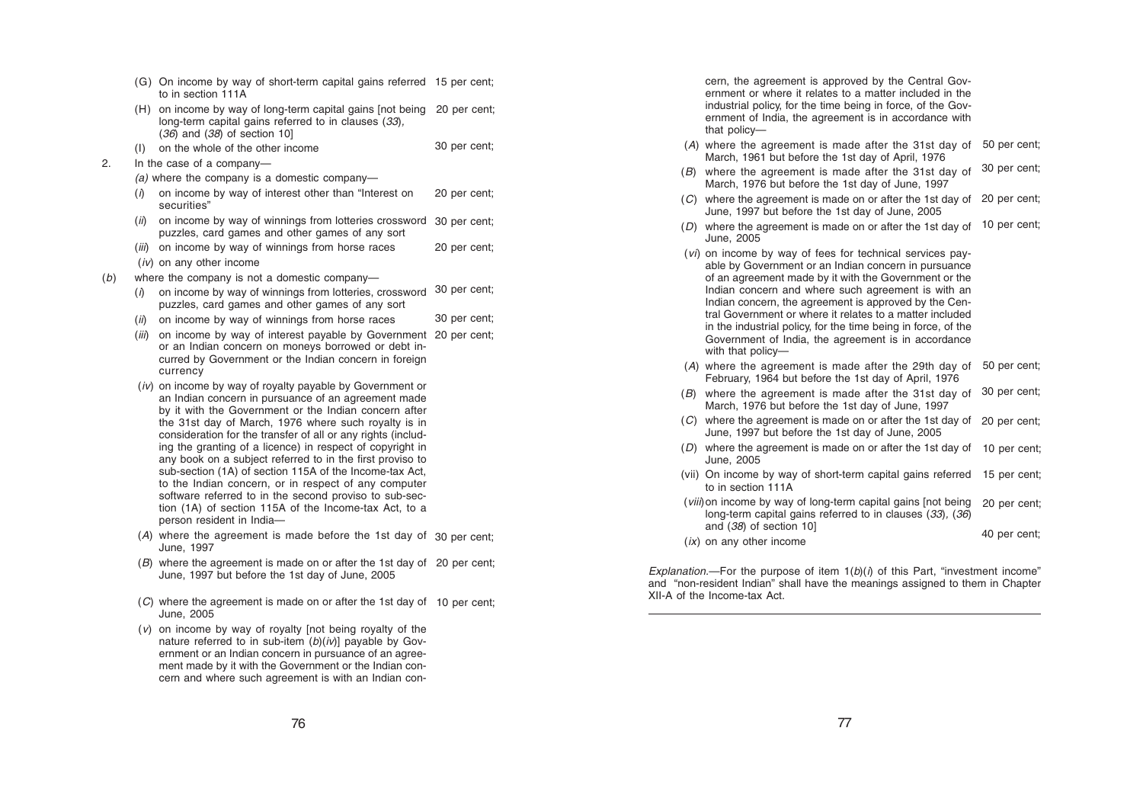- (G) On income by way of short-term capital gains referred 15 per cent; to in section 111A
- (H) on income by way of long-term capital gains [not being 20 per cent; long-term capital gains referred to in clauses (33),  $(36)$  and  $(38)$  of section 10]
- (I) on the whole of the other income 30 per cent;
- 2. In the case of a company—
	- (a) where the company is a domestic company-
	- $(i)$  on income by way of interest other than "Interest on securities" 20 per cent;
	- (ii) on income by way of winnings from lotteries crossword 30 per cent; puzzles, card games and other games of any sort
	- (iii) on income by way of winnings from horse races 20 per cent;
	- (iv) on any other income
- (b) where the company is not a domestic company—
	- $(i)$  on income by way of winnings from lotteries, crossword puzzles, card games and other games of any sort 30 per cent;
	- $(i)$  on income by way of winnings from horse races 30 per cent;
	- (iii) on income by way of interest payable by Government 20 per cent; or an Indian concern on moneys borrowed or debt incurred by Government or the Indian concern in foreign currency
	- (iv) on income by way of royalty payable by Government or an Indian concern in pursuance of an agreement made by it with the Government or the Indian concern after the 31st day of March, 1976 where such royalty is in consideration for the transfer of all or any rights (including the granting of a licence) in respect of copyright in any book on a subject referred to in the first proviso to sub-section (1A) of section 115A of the Income-tax Act, to the Indian concern, or in respect of any computer software referred to in the second proviso to sub-section (1A) of section 115A of the Income-tax Act, to a person resident in India—
	- ( A) where the agreement is made before the 1st day of 30 per cent; June, 1997
	- ( B) where the agreement is made on or after the 1st day of 20 per cent; June, 1997 but before the 1st day of June, 2005
	- ( C) where the agreement is made on or after the 1st day of 10 per cent; June, 2005
	- ( v) on income by way of royalty [not being royalty of the nature referred to in sub-item (b)(iv)] payable by Government or an Indian concern in pursuance of an agreement made by it with the Government or the Indian concern and where such agreement is with an Indian con-

cern, the agreement is approved by the Central Gov ernment or where it relates to a matter included in the industrial policy, for the time being in force, of the Gov ernment of India, the agreement is in accordance with that policy—

- ( A) where the agreement is made after the 31st day of 50 per cent; March, 1961 but before the 1st day of April, 1976
- (B) where the agreement is made after the 31st day of  $\,$  30 per cent; March, 1976 but before the 1st day of June, 1997
- (C) where the agreement is made on or after the 1st day of 20 per cent; June, 1997 but before the 1st day of June, 2005
- (D) where the agreement is made on or after the 1st day of  $\,$  10 per cent; June, 2005
- (vi) on income by way of fees for technical services payable by Government or an Indian concern in pursuance of an agreement made by it with the Government or the Indian concern and where such agreement is with an Indian concern, the agreement is approved by the Central Government or where it relates to a matter included in the industrial policy, for the time being in force, of the Government of India, the agreement is in accordance with that policy—
- ( A) where the agreement is made after the 29th day of 50 per cent; February, 1964 but before the 1st day of April, 1976
- $(B)$  where the agreement is made after the 31st day of  $30$  per cent; March, 1976 but before the 1st day of June, 1997
- (C) where the agreement is made on or after the 1st day of 20 per cent; June, 1997 but before the 1st day of June, 2005
- (D) where the agreement is made on or after the 1st day of 10 per cent; June, 2005
- (vii) On income by way of short-term capital gains referred 15 per cent; to in section 111A
- (viii)on income by way of long-term capital gains [not being 20 per cent; long-term capital gains referred to in clauses (33), (36) and (38) of section 10] 40 per cent;
- $(ix)$  on any other income

Explanation.—For the purpose of item  $1(b)(i)$  of this Part, "investment income" and "non-resident Indian" shall have the meanings assigned to them in Chapter XII-A of the Income-tax Act.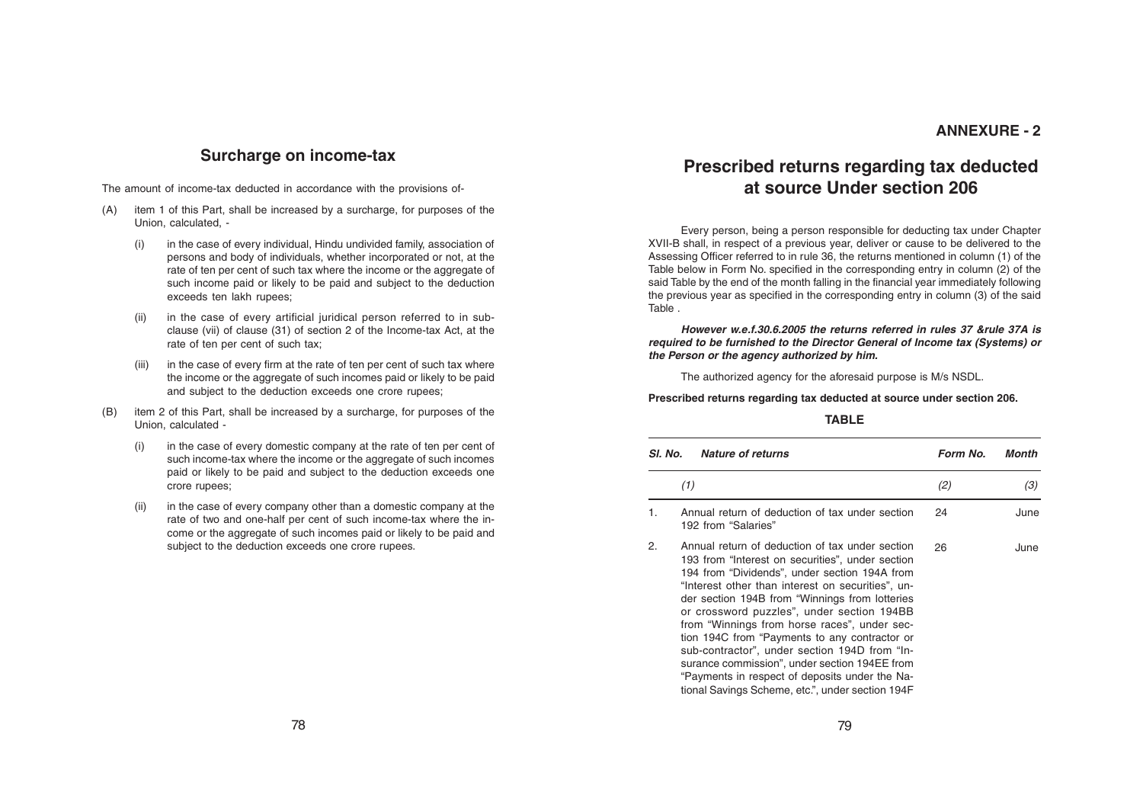#### **ANNEXURE - 2**

### **Surcharge on income-tax**

The amount of income-tax deducted in accordance with the provisions of-

- (A) item 1 of this Part, shall be increased by a surcharge, for purposes of the Union, calculated, -
	- (i) in the case of every individual, Hindu undivided family, association of persons and body of individuals, whether incorporated or not, at the rate of ten per cent of such tax where the income or the aggregate of such income paid or likely to be paid and subject to the deduction exceeds ten lakh rupees;
	- (ii) in the case of every artificial juridical person referred to in subclause (vii) of clause (31) of section 2 of the Income-tax Act, at the rate of ten per cent of such tax;
	- (iii) in the case of every firm at the rate of ten per cent of such tax where the income or the aggregate of such incomes paid or likely to be paid and subject to the deduction exceeds one crore rupees;
- (B) item 2 of this Part, shall be increased by a surcharge, for purposes of the Union, calculated -
	- (i) in the case of every domestic company at the rate of ten per cent of such income-tax where the income or the aggregate of such incomes paid or likely to be paid and subject to the deduction exceeds one crore rupees;
	- (ii) in the case of every company other than a domestic company at the rate of two and one-half per cent of such income-tax where the income or the aggregate of such incomes paid or likely to be paid and subject to the deduction exceeds one crore rupees.

## **Prescribed returns regarding tax deducted at source Under section 206**

Every person, being a person responsible for deducting tax under Chapter XVII-B shall, in respect of a previous year, deliver or cause to be delivered to the Assessing Officer referred to in rule 36, the returns mentioned in column (1) of the Table below in Form No. specified in the corresponding entry in column (2) of the said Table by the end of the month falling in the financial year immediately following the previous year as specified in the corresponding entry in column (3) of the said Table .

**However w.e.f.30.6.2005 the returns referred in rules 37 &rule 37A is required to be furnished to the Director General of Income tax (Systems) or the Person or the agency authorized by him.**

The authorized agency for the aforesaid purpose is M/s NSDL.

**Prescribed returns regarding tax deducted at source under section 206.**

#### **TABLE**

| SI. No. | <b>Nature of returns</b>                                                                                                                                                                                                                                                                                                                                                                                                                                                                                                                                                                                           | Form No. | <b>Month</b> |
|---------|--------------------------------------------------------------------------------------------------------------------------------------------------------------------------------------------------------------------------------------------------------------------------------------------------------------------------------------------------------------------------------------------------------------------------------------------------------------------------------------------------------------------------------------------------------------------------------------------------------------------|----------|--------------|
|         | (1)                                                                                                                                                                                                                                                                                                                                                                                                                                                                                                                                                                                                                | (2)      | (3)          |
| 1.      | Annual return of deduction of tax under section<br>192 from "Salaries"                                                                                                                                                                                                                                                                                                                                                                                                                                                                                                                                             | 24       | June         |
| 2.      | Annual return of deduction of tax under section<br>193 from "Interest on securities", under section<br>194 from "Dividends", under section 194A from<br>"Interest other than interest on securities", un-<br>der section 194B from "Winnings from lotteries<br>or crossword puzzles", under section 194BB<br>from "Winnings from horse races", under sec-<br>tion 194C from "Payments to any contractor or<br>sub-contractor", under section 194D from "In-<br>surance commission", under section 194EE from<br>"Payments in respect of deposits under the Na-<br>tional Savings Scheme, etc.", under section 194F | 26       | June         |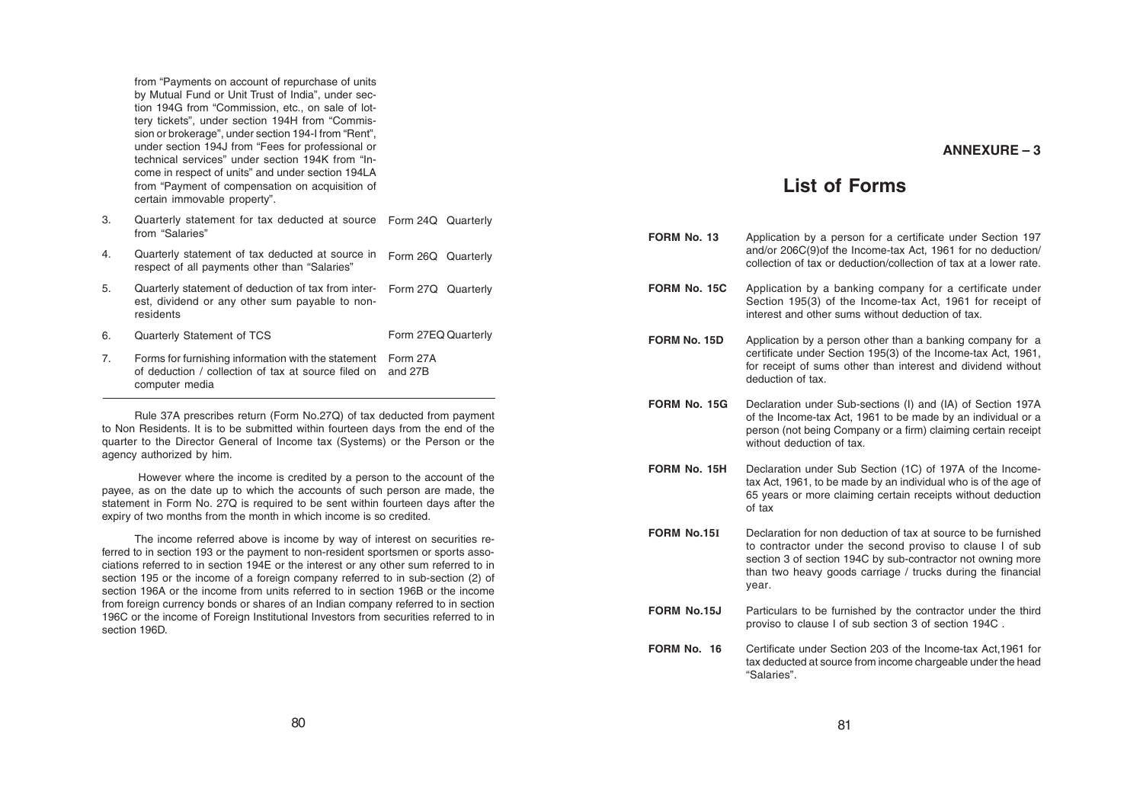from "Payments on account of repurchase of units by Mutual Fund or Unit Trust of India", under section 194G from "Commission, etc., on sale of lottery tickets", under section 194H from "Commission or brokerage", under section 194-I from "Rent", under section 194J from "Fees for professional or technical services" under section 194K from "Income in respect of units" and under section 194LA from "Payment of compensation on acquisition of certain immovable property".

- 3. Quarterly statement for tax deducted at source Form 24Q Quarterly from "Salaries"
- 4. Quarterly statement of tax deducted at source in Form 26Q Quarterly respect of all payments other than "Salaries"
- 5. Quarterly statement of deduction of tax from inter-Form 27Q Quarterly est, dividend or any other sum payable to nonresidents
- 6. Quarterly Statement of TCS Form 27EQ Quarterly
- 7. Forms for furnishing information with the statement Form 27A of deduction / collection of tax at source filed on and 27B computer media

Rule 37A prescribes return (Form No.27Q) of tax deducted from payment to Non Residents. It is to be submitted within fourteen days from the end of the quarter to the Director General of Income tax (Systems) or the Person or the agency authorized by him.

 However where the income is credited by a person to the account of the payee, as on the date up to which the accounts of such person are made, the statement in Form No. 27Q is required to be sent within fourteen days after the expiry of two months from the month in which income is so credited.

The income referred above is income by way of interest on securities referred to in section 193 or the payment to non-resident sportsmen or sports associations referred to in section 194E or the interest or any other sum referred to in section 195 or the income of a foreign company referred to in sub-section (2) of section 196A or the income from units referred to in section 196B or the income from foreign currency bonds or shares of an Indian company referred to in section 196C or the income of Foreign Institutional Investors from securities referred to in section 196D.

## **List of Forms**

| FORM No. 13        | Application by a person for a certificate under Section 197<br>and/or 206C(9) of the Income-tax Act, 1961 for no deduction/<br>collection of tax or deduction/collection of tax at a lower rate.                                                                   |
|--------------------|--------------------------------------------------------------------------------------------------------------------------------------------------------------------------------------------------------------------------------------------------------------------|
| FORM No. 15C       | Application by a banking company for a certificate under<br>Section 195(3) of the Income-tax Act, 1961 for receipt of<br>interest and other sums without deduction of tax.                                                                                         |
| FORM No. 15D       | Application by a person other than a banking company for a<br>certificate under Section 195(3) of the Income-tax Act, 1961,<br>for receipt of sums other than interest and dividend without<br>deduction of tax.                                                   |
| FORM No. 15G       | Declaration under Sub-sections (I) and (IA) of Section 197A<br>of the Income-tax Act, 1961 to be made by an individual or a<br>person (not being Company or a firm) claiming certain receipt<br>without deduction of tax.                                          |
| FORM No. 15H       | Declaration under Sub Section (1C) of 197A of the Income-<br>tax Act, 1961, to be made by an individual who is of the age of<br>65 years or more claiming certain receipts without deduction<br>of tax                                                             |
| <b>FORM No.15I</b> | Declaration for non deduction of tax at source to be furnished<br>to contractor under the second proviso to clause I of sub<br>section 3 of section 194C by sub-contractor not owning more<br>than two heavy goods carriage / trucks during the financial<br>year. |
| <b>FORM No.15J</b> | Particulars to be furnished by the contractor under the third<br>proviso to clause I of sub section 3 of section 194C.                                                                                                                                             |
| FORM No. 16        | Certificate under Section 203 of the Income-tax Act, 1961 for<br>tax deducted at source from income chargeable under the head<br>"Salaries".                                                                                                                       |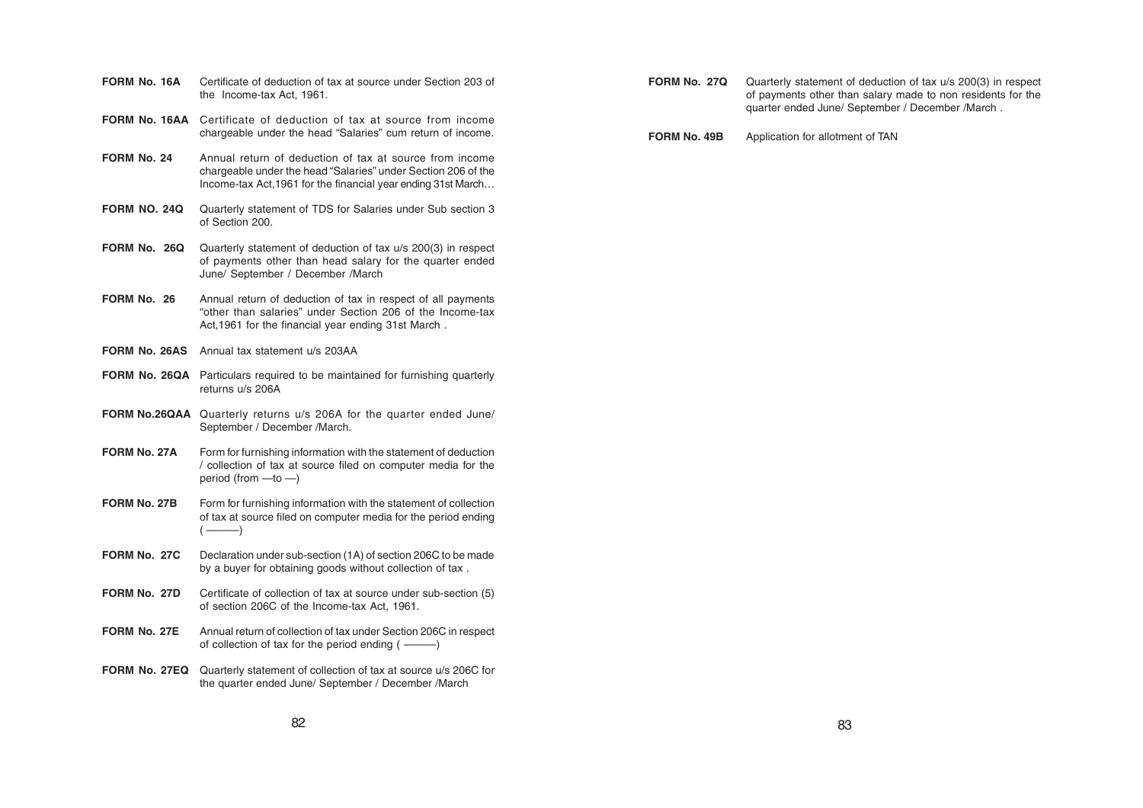| FORM No. 16A | Certificate of deduction of tax at source under Section 203 of |
|--------------|----------------------------------------------------------------|
|              | the Income-tax Act, 1961.                                      |

- **FORM No. 16AA** Certificate of deduction of tax at source from income chargeable under the head "Salaries" cum return of income.
- **FORM No. 24** Annual return of deduction of tax at source from income chargeable under the head "Salaries" under Section 206 of the Income-tax Act,1961 for the financial year ending 31st March…
- **FORM NO. 24Q** Quarterly statement of TDS for Salaries under Sub section 3 of Section 200.
- **FORM No. 26Q** Quarterly statement of deduction of tax u/s 200(3) in respect of payments other than head salary for the quarter ended June/ September / December /March
- **FORM No. 26** Annual return of deduction of tax in respect of all payments "other than salaries" under Section 206 of the Income-tax Act,1961 for the financial year ending 31st March .
- **FORM No. 26AS** Annual tax statement u/s 203AA
- **FORM No. 26QA** Particulars required to be maintained for furnishing quarterly returns u/s 206A
- **FORM No.26QAA** Quarterly returns u/s 206A for the quarter ended June/ September / December /March.
- **FORM No. 27A** Form for furnishing information with the statement of deduction / collection of tax at source filed on computer media for the period (from —to —)
- **FORM No. 27B** Form for furnishing information with the statement of collection of tax at source filed on computer media for the period ending ( ———)
- **FORM No. 27C** Declaration under sub-section (1A) of section 206C to be made by a buyer for obtaining goods without collection of tax .
- **FORM No. 27D** Certificate of collection of tax at source under sub-section (5) of section 206C of the Income-tax Act, 1961.
- **FORM No. 27E** Annual return of collection of tax under Section 206C in respect of collection of tax for the period ending ( ———)
- **FORM No. 27EQ** Quarterly statement of collection of tax at source u/s 206C for the quarter ended June/ September / December /March
- **FORM No. 27Q** Quarterly statement of deduction of tax u/s 200(3) in respect of payments other than salary made to non residents for the quarter ended June/ September / December /March .
- **FORM No. 49B** Application for allotment of TAN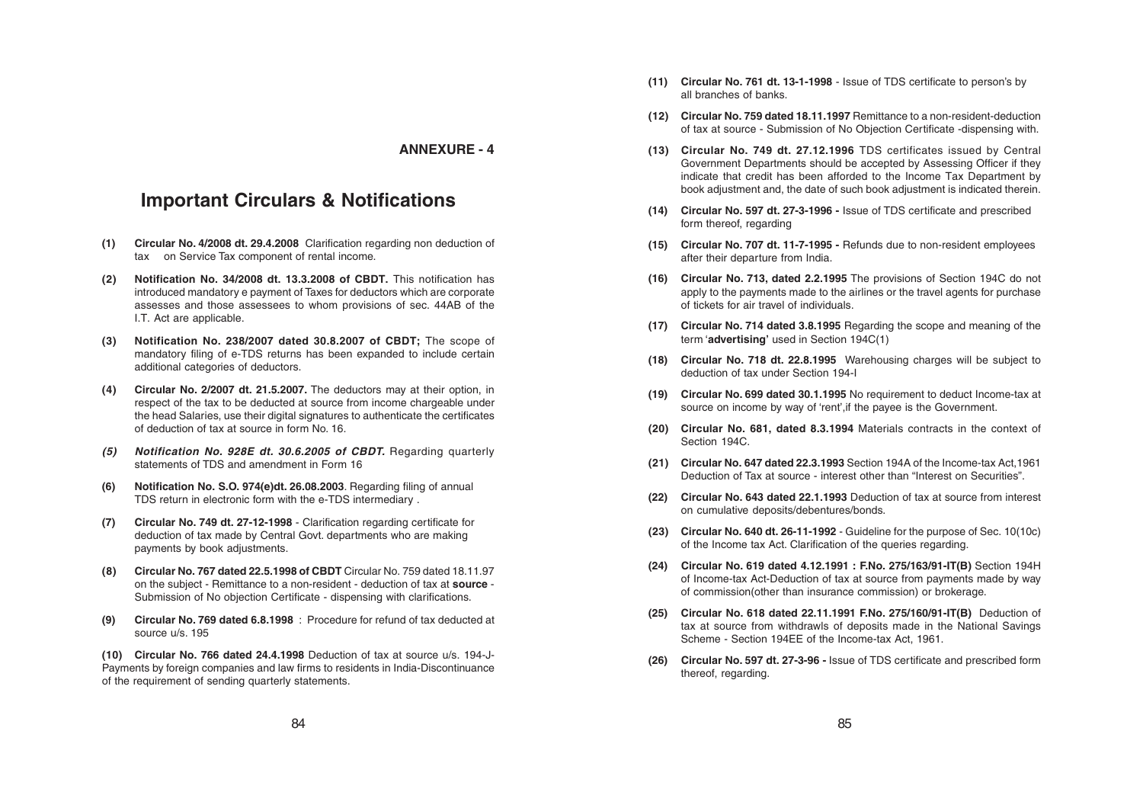#### **ANNEXURE - 4**

## **Important Circulars & Notifications**

- **(1) Circular No. 4/2008 dt. 29.4.2008** Clarification regarding non deduction of tax on Service Tax component of rental income.
- **(2) Notification No. 34/2008 dt. 13.3.2008 of CBDT.** This notification has introduced mandatory e payment of Taxes for deductors which are corporate assesses and those assessees to whom provisions of sec. 44AB of the I.T. Act are applicable.
- **(3) Notification No. 238/2007 dated 30.8.2007 of CBDT;** The scope of mandatory filing of e-TDS returns has been expanded to include certain additional categories of deductors.
- **(4) Circular No. 2/2007 dt. 21.5.2007.** The deductors may at their option, in respect of the tax to be deducted at source from income chargeable under the head Salaries, use their digital signatures to authenticate the certificates of deduction of tax at source in form No. 16.
- **(5) Notification No. 928E dt. 30.6.2005 of CBDT.** Regarding quarterly statements of TDS and amendment in Form 16
- **(6) Notification No. S.O. 974(e)dt. 26.08.2003**. Regarding filing of annual TDS return in electronic form with the e-TDS intermediary .
- **(7) Circular No. 749 dt. 27-12-1998** Clarification regarding certificate for deduction of tax made by Central Govt. departments who are making payments by book adjustments.
- **(8) Circular No. 767 dated 22.5.1998 of CBDT** Circular No. 759 dated 18.11.97 on the subject - Remittance to a non-resident - deduction of tax at **source** - Submission of No objection Certificate - dispensing with clarifications.
- **(9) Circular No. 769 dated 6.8.1998** : Procedure for refund of tax deducted at source u/s. 195

**(10) Circular No. 766 dated 24.4.1998** Deduction of tax at source u/s. 194-J-Payments by foreign companies and law firms to residents in India-Discontinuance of the requirement of sending quarterly statements.

- **(11) Circular No. 761 dt. 13-1-1998** Issue of TDS certificate to person's by all branches of banks.
- **(12) Circular No. 759 dated 18.11.1997** Remittance to a non-resident-deduction of tax at source - Submission of No Objection Certificate -dispensing with.
- **(13) Circular No. 749 dt. 27.12.1996** TDS certificates issued by Central Government Departments should be accepted by Assessing Officer if they indicate that credit has been afforded to the Income Tax Department by book adjustment and, the date of such book adjustment is indicated therein.
- **(14) Circular No. 597 dt. 27-3-1996 -** Issue of TDS certificate and prescribed form thereof, regarding
- **(15) Circular No. 707 dt. 11-7-1995 -** Refunds due to non-resident employees after their departure from India.
- **(16) Circular No. 713, dated 2.2.1995** The provisions of Section 194C do not apply to the payments made to the airlines or the travel agents for purchase of tickets for air travel of individuals.
- **(17) Circular No. 714 dated 3.8.1995** Regarding the scope and meaning of the term '**advertising'** used in Section 194C(1)
- **(18) Circular No. 718 dt. 22.8.1995** Warehousing charges will be subject to deduction of tax under Section 194-I
- **(19) Circular No. 699 dated 30.1.1995** No requirement to deduct Income-tax at source on income by way of 'rent',if the payee is the Government.
- **(20) Circular No. 681, dated 8.3.1994** Materials contracts in the context of Section 194C.
- **(21) Circular No. 647 dated 22.3.1993** Section 194A of the Income-tax Act,1961 Deduction of Tax at source - interest other than "Interest on Securities".
- **(22) Circular No. 643 dated 22.1.1993** Deduction of tax at source from interest on cumulative deposits/debentures/bonds.
- **(23) Circular No. 640 dt. 26-11-1992** Guideline for the purpose of Sec. 10(10c) of the Income tax Act. Clarification of the queries regarding.
- **(24) Circular No. 619 dated 4.12.1991 : F.No. 275/163/91-IT(B)** Section 194H of Income-tax Act-Deduction of tax at source from payments made by way of commission(other than insurance commission) or brokerage.
- **(25) Circular No. 618 dated 22.11.1991 F.No. 275/160/91-IT(B)** Deduction of tax at source from withdrawls of deposits made in the National Savings Scheme - Section 194EE of the Income-tax Act, 1961.
- **(26) Circular No. 597 dt. 27-3-96 -** Issue of TDS certificate and prescribed form thereof, regarding.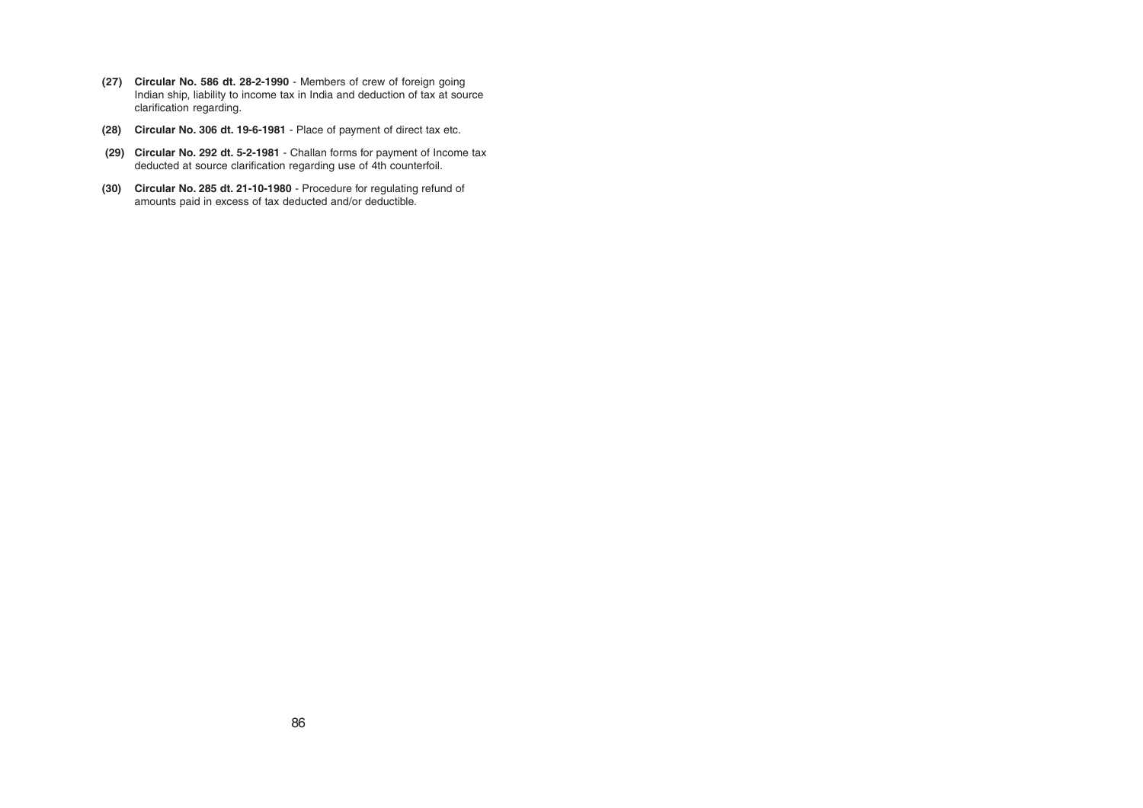- **(27) Circular No. 586 dt. 28-2-1990** Members of crew of foreign going Indian ship, liability to income tax in India and deduction of tax at source clarification regarding.
- **(28) Circular No. 306 dt. 19-6-1981** Place of payment of direct tax etc.
- **(29) Circular No. 292 dt. 5-2-1981** Challan forms for payment of Income tax deducted at source clarification regarding use of 4th counterfoil.
- **(30) Circular No. 285 dt. 21-10-1980** Procedure for regulating refund of amounts paid in excess of tax deducted and/or deductible.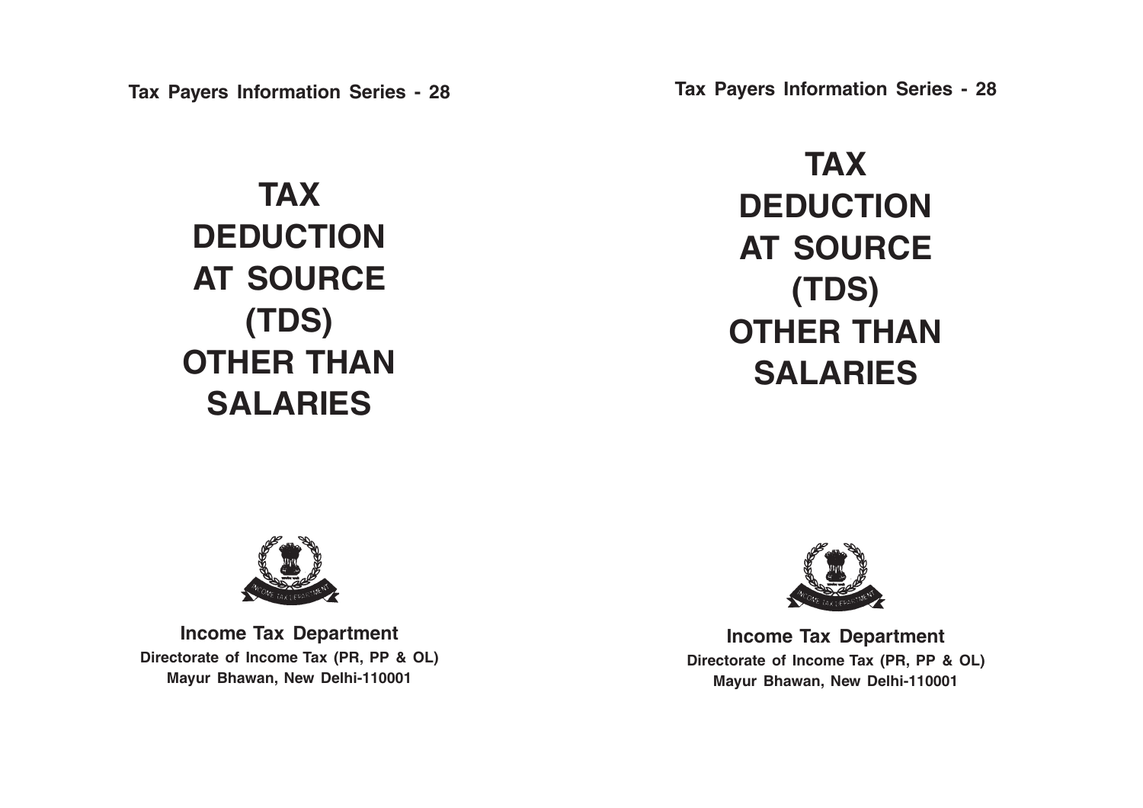**Tax Payers Information Series - 28**

**TAX DEDUCTION AT SOURCE (TDS) OTHER THAN SALARIES**

**Tax Payers Information Series - 28**

**TAX DEDUCTION AT SOURCE (TDS) OTHER THAN SALARIES**



**Income Tax Department Directorate of Income Tax (PR, PP & OL) Mayur Bhawan, New Delhi-110001**



**Income Tax Department Directorate of Income Tax (PR, PP & OL) Mayur Bhawan, New Delhi-110001**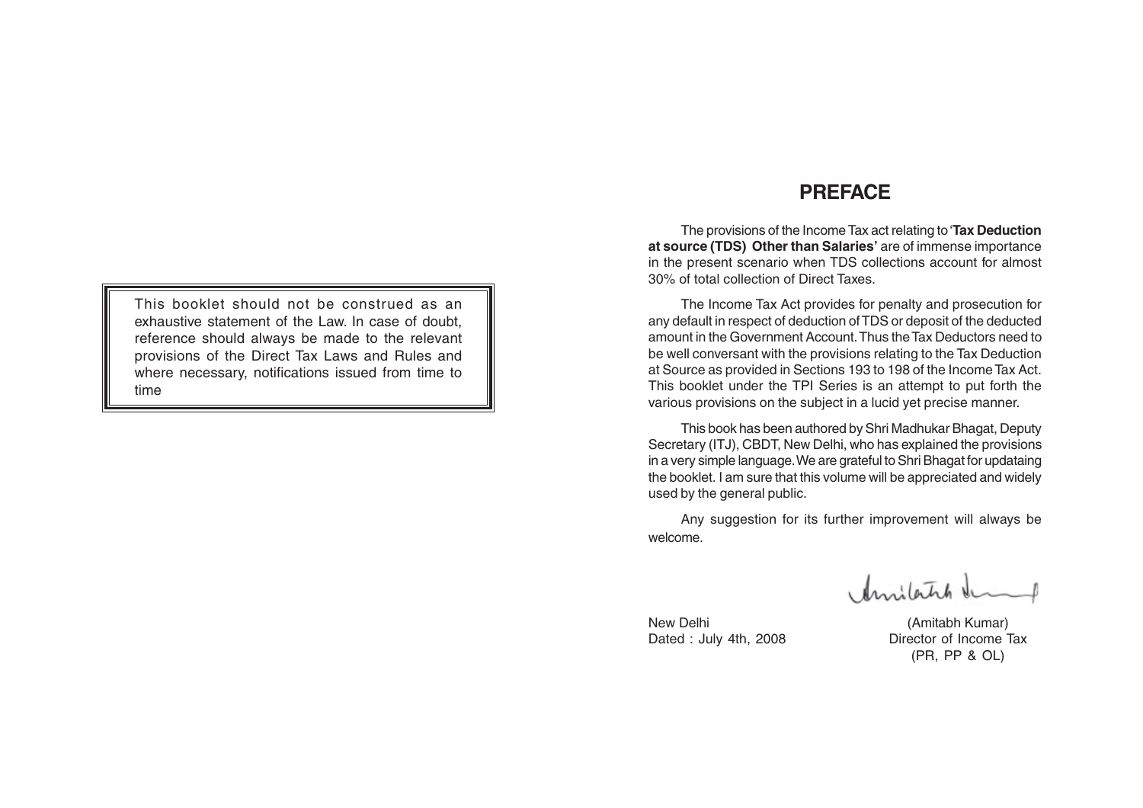This booklet should not be construed as an exhaustive statement of the Law. In case of doubt, reference should always be made to the relevant provisions of the Direct Tax Laws and Rules and where necessary, notifications issued from time to time

## **PREFACE**

The provisions of the Income Tax act relating to '**Tax Deduction at source (TDS) Other than Salaries'** are of immense importance in the present scenario when TDS collections account for almost 30% of total collection of Direct Taxes.

The Income Tax Act provides for penalty and prosecution for any default in respect of deduction of TDS or deposit of the deducted amount in the Government Account. Thus the Tax Deductors need to be well conversant with the provisions relating to the Tax Deduction at Source as provided in Sections 193 to 198 of the Income Tax Act. This booklet under the TPI Series is an attempt to put forth the various provisions on the subject in a lucid yet precise manner.

This book has been authored by Shri Madhukar Bhagat, Deputy Secretary (ITJ), CBDT, New Delhi, who has explained the provisions in a very simple language. We are grateful to Shri Bhagat for updataing the booklet. I am sure that this volume will be appreciated and widely used by the general public.

Any suggestion for its further improvement will always be welcome.

Amilatch &

New Delhi (Amitabh Kumar) Dated : July 4th, 2008 Director of Income Tax (PR, PP & OL)